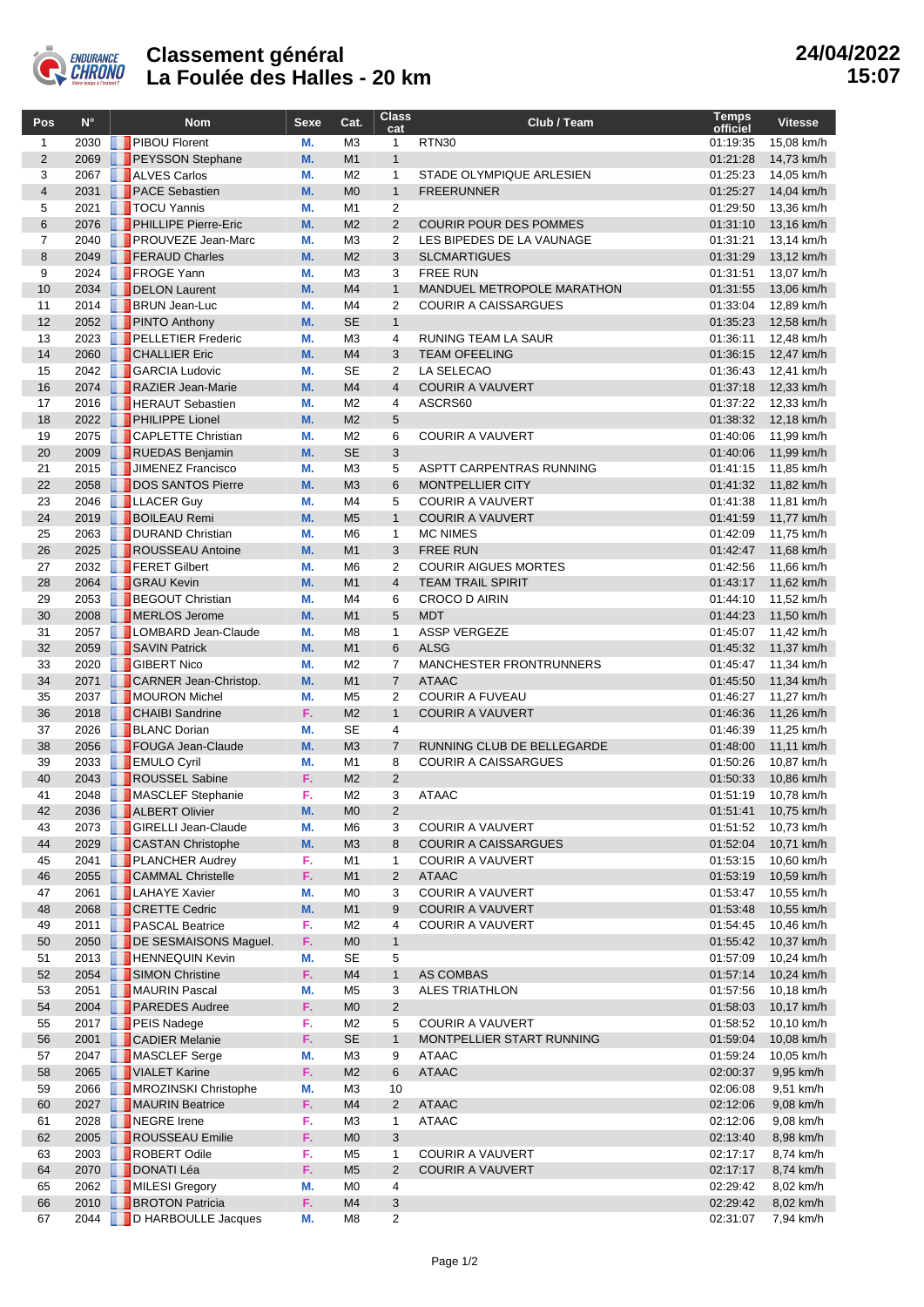

## **Classement général La Foulée des Halles - 20 km**

| Pos            | $N^{\circ}$  | <b>Nom</b>                                           | Sexe     | Cat.                             | <b>Class</b><br>cat     | Club / Team                                        | Temps<br>officiel    | <b>Vitesse</b>           |
|----------------|--------------|------------------------------------------------------|----------|----------------------------------|-------------------------|----------------------------------------------------|----------------------|--------------------------|
| $\mathbf{1}$   | 2030         | <b>PIBOU Florent</b>                                 | М.       | M <sub>3</sub>                   | $\mathbf{1}$            | <b>RTN30</b>                                       | 01:19:35             | 15,08 km/h               |
| $\overline{2}$ | 2069         | <b>PEYSSON Stephane</b>                              | M.       | M <sub>1</sub>                   | $\mathbf{1}$            |                                                    | 01:21:28             | 14,73 km/h               |
| 3              | 2067         | <b>ALVES Carlos</b>                                  | М.       | M <sub>2</sub>                   | $\mathbf{1}$            | STADE OLYMPIQUE ARLESIEN                           | 01:25:23             | 14,05 km/h               |
| $\overline{4}$ | 2031         | <b>PACE Sebastien</b>                                | M.       | M <sub>0</sub>                   | $\mathbf{1}$            | <b>FREERUNNER</b>                                  | 01:25:27             | 14,04 km/h               |
| 5              | 2021         | <b>T</b> TOCU Yannis                                 | М.       | M1                               | 2                       |                                                    | 01:29:50             | 13,36 km/h               |
| 6              | 2076         | <b>PHILLIPE Pierre-Eric</b>                          | M.       | M <sub>2</sub>                   | $\overline{2}$          | <b>COURIR POUR DES POMMES</b>                      | 01:31:10             | 13,16 km/h               |
| 7              | 2040         | <b>PROUVEZE Jean-Marc</b>                            | М.       | M <sub>3</sub>                   | 2                       | LES BIPEDES DE LA VAUNAGE                          | 01:31:21             | 13,14 km/h               |
| 8<br>9         | 2049<br>2024 | <b>FERAUD Charles</b><br>FROGE Yann                  | M.       | M <sub>2</sub><br>M <sub>3</sub> | 3                       | <b>SLCMARTIGUES</b><br><b>FREE RUN</b>             | 01:31:29<br>01:31:51 | 13,12 km/h<br>13,07 km/h |
| 10             |              | 2034 DELON Laurent                                   | М.<br>M. | M <sub>4</sub>                   | 3<br>$\mathbf{1}$       | MANDUEL METROPOLE MARATHON                         | 01:31:55             | 13,06 km/h               |
| 11             |              | 2014 <b>BRUN</b> Jean-Luc                            | М.       | M4                               | $\overline{2}$          | <b>COURIR A CAISSARGUES</b>                        | 01:33:04             | 12,89 km/h               |
| 12             |              | 2052 PINTO Anthony                                   | M.       | <b>SE</b>                        | $\mathbf{1}$            |                                                    | 01:35:23             | 12,58 km/h               |
| 13             | 2023         | <b>PELLETIER Frederic</b>                            | М.       | M <sub>3</sub>                   | 4                       | RUNING TEAM LA SAUR                                | 01:36:11             | 12,48 km/h               |
| 14             |              | 2060 CHALLIER Eric                                   | M.       | M4                               | 3                       | <b>TEAM OFEELING</b>                               | 01:36:15             | 12,47 km/h               |
| 15             |              | 2042 GARCIA Ludovic                                  | М.       | <b>SE</b>                        | $\overline{2}$          | LA SELECAO                                         | 01:36:43             | 12,41 km/h               |
| 16             | 2074         | RAZIER Jean-Marie                                    | M.       | M4                               | $\overline{4}$          | <b>COURIR A VAUVERT</b>                            | 01:37:18             | 12,33 km/h               |
| 17             | 2016         | <b>HERAUT Sebastien</b>                              | М.       | M <sub>2</sub>                   | 4                       | ASCRS60                                            | 01:37:22             | 12,33 km/h               |
| 18             |              | 2022 PHILIPPE Lionel                                 | M.       | M <sub>2</sub>                   | 5                       |                                                    | 01:38:32             | 12,18 km/h               |
| 19             |              | 2075 <b>CAPLETTE</b> Christian                       | М.       | M <sub>2</sub>                   | 6                       | <b>COURIR A VAUVERT</b>                            | 01:40:06             | 11,99 km/h               |
| 20             | 2009         | RUEDAS Benjamin                                      | M.       | <b>SE</b>                        | 3                       |                                                    | 01:40:06             | 11,99 km/h               |
| 21             | 2015         | JIMENEZ Francisco                                    | М.       | M <sub>3</sub>                   | 5                       | ASPTT CARPENTRAS RUNNING                           | 01:41:15             | 11,85 km/h               |
| 22<br>23       | 2058<br>2046 | DOS SANTOS Pierre<br><b>LLACER Guy</b>               | M.<br>М. | M <sub>3</sub><br>M4             | 6<br>5                  | <b>MONTPELLIER CITY</b><br><b>COURIR A VAUVERT</b> | 01:41:32<br>01:41:38 | 11,82 km/h<br>11,81 km/h |
| 24             | 2019         | <b>BOILEAU Remi</b>                                  | M.       | M <sub>5</sub>                   | $\mathbf{1}$            | <b>COURIR A VAUVERT</b>                            | 01:41:59             | 11,77 km/h               |
| 25             | 2063         | DURAND Christian                                     | М.       | M <sub>6</sub>                   | $\mathbf{1}$            | <b>MC NIMES</b>                                    | 01:42:09             | 11,75 km/h               |
| 26             | 2025         | ROUSSEAU Antoine                                     | M.       | M <sub>1</sub>                   | 3                       | <b>FREE RUN</b>                                    | 01:42:47             | 11,68 km/h               |
| 27             |              | 2032 <b>FERET Gilbert</b>                            | М.       | M <sub>6</sub>                   | 2                       | <b>COURIR AIGUES MORTES</b>                        | 01:42:56             | 11,66 km/h               |
| 28             | 2064         | <b>GRAU Kevin</b>                                    | M.       | M1                               | $\overline{4}$          | <b>TEAM TRAIL SPIRIT</b>                           | 01:43:17             | 11,62 km/h               |
| 29             | 2053         | <b>BEGOUT Christian</b>                              | М.       | M <sub>4</sub>                   | 6                       | <b>CROCO D AIRIN</b>                               | 01:44:10             | 11,52 km/h               |
| 30             | 2008         | MERLOS Jerome                                        | M.       | M <sub>1</sub>                   | 5                       | <b>MDT</b>                                         | 01:44:23             | 11,50 km/h               |
| 31             |              | 2057   LOMBARD Jean-Claude                           | М.       | M8                               | $\mathbf{1}$            | <b>ASSP VERGEZE</b>                                | 01:45:07             | 11,42 km/h               |
| 32             | 2059         | SAVIN Patrick                                        | M.       | M1                               | 6                       | <b>ALSG</b>                                        | 01:45:32             | 11,37 km/h               |
| 33             | 2020         | <b>CIBERT Nico</b>                                   | М.       | M <sub>2</sub>                   | $\overline{7}$          | MANCHESTER FRONTRUNNERS                            | 01:45:47             | 11,34 km/h               |
| 34             | 2071         | <b>CARNER Jean-Christop.</b>                         | M.       | M <sub>1</sub>                   | $\overline{7}$          | <b>ATAAC</b>                                       | 01:45:50             | 11,34 km/h               |
| 35             |              | 2037 MOURON Michel                                   | М.<br>F. | M <sub>5</sub>                   | 2<br>$\mathbf{1}$       | <b>COURIR A FUVEAU</b>                             | 01:46:27             | 11,27 km/h               |
| 36<br>37       | 2018<br>2026 | <b>CHAIBI</b> Sandrine<br><b>BLANC Dorian</b>        | М.       | M <sub>2</sub><br><b>SE</b>      | 4                       | <b>COURIR A VAUVERT</b>                            | 01:46:36<br>01:46:39 | 11,26 km/h<br>11,25 km/h |
| 38             | 2056         | FOUGA Jean-Claude                                    | M.       | M <sub>3</sub>                   | $\overline{7}$          | RUNNING CLUB DE BELLEGARDE                         | 01:48:00             | 11,11 km/h               |
| 39             | 2033         | <b>EXAMPLE SET EMULO Cyril</b>                       | М.       | M1                               | 8                       | <b>COURIR A CAISSARGUES</b>                        | 01:50:26             | 10,87 km/h               |
| 40             | 2043         | ROUSSEL Sabine                                       | F.       | M <sub>2</sub>                   | $\overline{2}$          |                                                    | 01:50:33             | 10,86 km/h               |
| 41             | 2048         | MASCLEF Stephanie                                    | F.       | M <sub>2</sub>                   | 3                       | <b>ATAAC</b>                                       | 01:51:19             | 10,78 km/h               |
| 42             | 2036         | ALBERT Olivier                                       | M.       | M <sub>0</sub>                   | $\overline{2}$          |                                                    | 01:51:41             | 10,75 km/h               |
| 43             | 2073         | <b>GIRELLI Jean-Claude</b>                           | М.       | M <sub>6</sub>                   | 3                       | <b>COURIR A VAUVERT</b>                            | 01:51:52             | 10,73 km/h               |
| 44             | 2029         | <b>CASTAN Christophe</b>                             | M.       | M3                               | 8                       | <b>COURIR A CAISSARGUES</b>                        | 01:52:04             | 10,71 km/h               |
| 45             | 2041         | <b>PLANCHER Audrey</b>                               | F.       | M1                               | $\mathbf{1}$            | <b>COURIR A VAUVERT</b>                            | 01:53:15             | 10,60 km/h               |
| 46             | 2055         | <b>CAMMAL Christelle</b>                             | F.       | M <sub>1</sub>                   | $\overline{2}$          | <b>ATAAC</b>                                       | 01:53:19             | 10,59 km/h               |
| 47             | 2061         | <b>LAHAYE Xavier</b>                                 | М.       | M0                               | 3                       | <b>COURIR A VAUVERT</b>                            | 01:53:47             | 10,55 km/h               |
| 48             | 2068         | <b>CRETTE Cedric</b>                                 | M.       | M1                               | 9                       | <b>COURIR A VAUVERT</b>                            | 01:53:48             | 10,55 km/h               |
| 49             | 2011         | <b>PASCAL Beatrice</b>                               | F.       | M <sub>2</sub>                   | 4                       | <b>COURIR A VAUVERT</b>                            | 01:54:45             | 10,46 km/h               |
| 50<br>51       | 2050         | DE SESMAISONS Maguel.<br>2013 <b>HENNEQUIN Kevin</b> | F.<br>М. | M <sub>0</sub><br><b>SE</b>      | $\mathbf{1}$<br>5       |                                                    | 01:55:42<br>01:57:09 | 10,37 km/h<br>10,24 km/h |
| 52             | 2054         | SIMON Christine                                      | F.       | M4                               | $\mathbf{1}$            | AS COMBAS                                          | 01:57:14             | 10,24 km/h               |
| 53             | 2051         | MAURIN Pascal                                        | М.       | M5                               | 3                       | <b>ALES TRIATHLON</b>                              | 01:57:56             | 10,18 km/h               |
| 54             | 2004         | <b>PAREDES Audree</b>                                | F.       | M <sub>0</sub>                   | $\overline{2}$          |                                                    | 01:58:03             | 10,17 km/h               |
| 55             |              | 2017 PEIS Nadege                                     | F.       | M <sub>2</sub>                   | 5                       | <b>COURIR A VAUVERT</b>                            | 01:58:52             | 10,10 km/h               |
| 56             | 2001         | CADIER Melanie                                       | F.       | <b>SE</b>                        | $\mathbf{1}$            | MONTPELLIER START RUNNING                          | 01:59:04             | 10,08 km/h               |
| 57             | 2047         | MASCLEF Serge                                        | М.       | M <sub>3</sub>                   | 9                       | <b>ATAAC</b>                                       | 01:59:24             | 10,05 km/h               |
| 58             | 2065         | VIALET Karine                                        | F.       | M <sub>2</sub>                   | 6                       | <b>ATAAC</b>                                       | 02:00:37             | 9,95 km/h                |
| 59             | 2066         | MROZINSKI Christophe                                 | М.       | M3                               | 10                      |                                                    | 02:06:08             | 9,51 km/h                |
| 60             | 2027         | MAURIN Beatrice                                      | F.       | M4                               | $\overline{2}$          | <b>ATAAC</b>                                       | 02:12:06             | 9,08 km/h                |
| 61             | 2028         | NEGRE Irene                                          | F.       | M3                               | 1                       | <b>ATAAC</b>                                       | 02:12:06             | 9,08 km/h                |
| 62             | 2005         | ROUSSEAU Emilie                                      | F.       | M <sub>0</sub>                   | 3                       |                                                    | 02:13:40             | 8,98 km/h                |
| 63             |              | 2003 ROBERT Odile                                    | F.       | M5                               | 1                       | <b>COURIR A VAUVERT</b>                            | 02:17:17             | 8,74 km/h                |
| 64<br>65       | 2070<br>2062 | DONATI Léa<br>MILESI Gregory                         | F.<br>M. | M <sub>5</sub>                   | $\overline{2}$          | <b>COURIR A VAUVERT</b>                            | 02:17:17<br>02:29:42 | 8,74 km/h<br>8,02 km/h   |
| 66             | 2010         | <b>BROTON Patricia</b>                               | F.       | M <sub>0</sub><br>M4             | 4<br>3                  |                                                    | 02:29:42             | 8,02 km/h                |
| 67             |              | 2044 D HARBOULLE Jacques                             | М.       | M8                               | $\overline{\mathbf{c}}$ |                                                    | 02:31:07             | 7,94 km/h                |
|                |              |                                                      |          |                                  |                         |                                                    |                      |                          |